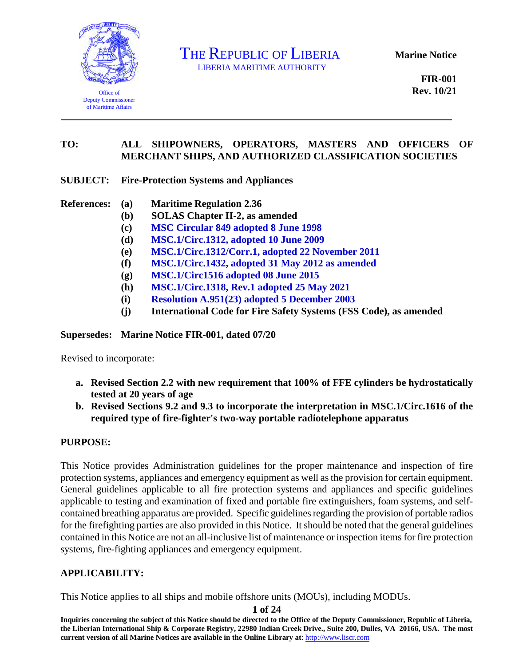

THE REPUBLIC OF LIBERIA

**Marine Notice**

**FIR-001 Rev. 10/21** 

#### **TO: ALL SHIPOWNERS, OPERATORS, MASTERS AND OFFICERS OF MERCHANT SHIPS, AND AUTHORIZED CLASSIFICATION SOCIETIES**

#### **SUBJECT: Fire-Protection Systems and Appliances**

- **References: (a) Maritime Regulation 2.36** 
	- **(b) SOLAS Chapter II-2, as amended**
	- **(c) [MSC Circular 849 adopted 8 June 1998](https://www.liscr.com/sites/default/files/liscr_imo_resolutions/MSC.1-Circ.849.pdf)**
	- **(d) [MSC.1/Circ.1312, adopted 10 June 2009](https://www.liscr.com/sites/default/files/liscr_imo_resolutions/MSC.1-Circ.1312%20-%20Guidelines%20for%20the%20performance%20and%20testing%20criteria%2C%20and%20surveys%20of%20low-expansion%20foam%20FFF%20systems.pdf)**
	- **(e) [MSC.1/Circ.1312/Corr.1, adopted 22 November 2011](https://www.liscr.com/sites/default/files/liscr_imo_resolutions/MSC.1-Circ.1312-Corr-1%20-%20Guidelines%20for%20the%20performance%20and%20testing%20criteria%2C%20and%20surveys%20of%20low-expansion%20foam%20FFF%20systems.pdf)**
	- **(f) [MSC.1/Circ.1432, adopted 31 May 2012 as amended](https://www.liscr.com/sites/default/files/liscr_imo_resolutions/MSC.1-Circ.1432.pdf)**
	- **(g) [MSC.1/Circ1516 adopted 08 June 2015](https://www.liscr.com/sites/default/files/liscr_imo_resolutions/MSC.1-Circ.1516%20-%20Amendments%20To%20The%20Revised%20Guidelines%20For%20The%20Maintenance%20And%20Inspection%20Of%20Fire%20Protection...%20%28Secretariat%29.pdf)**
	- **(h) [MSC.1/Circ.1318, Rev.1 adopted 25 May 2021](https://www.liscr.com/sites/default/files/liscr_imo_resolutions/MSC.1-Circ.1318-Rev.1_pdf.pdf)**
	- **(i) [Resolution A.951\(23\) adopted 5 December 2003](https://www.liscr.com/sites/default/files/liscr_imo_resolutions/Res.A.951%2823%29%20-%20Improved%20Guidelines%20for%20Marine%20Portable%20Fire%20Extinguishing.pdf.pdf)**
	- **(j) International Code for Fire Safety Systems (FSS Code), as amended**

#### **Supersedes: Marine Notice FIR-001, dated 07/20**

Revised to incorporate:

- **a. Revised Section 2.2 with new requirement that 100% of FFE cylinders be hydrostatically tested at 20 years of age**
- **b. Revised Sections 9.2 and 9.3 to incorporate the interpretation in MSC.1/Circ.1616 of the required type of fire-fighter's two-way portable radiotelephone apparatus**

#### **PURPOSE:**

This Notice provides Administration guidelines for the proper maintenance and inspection of fire protection systems, appliances and emergency equipment as well as the provision for certain equipment. General guidelines applicable to all fire protection systems and appliances and specific guidelines applicable to testing and examination of fixed and portable fire extinguishers, foam systems, and selfcontained breathing apparatus are provided. Specific guidelines regarding the provision of portable radios for the firefighting parties are also provided in this Notice. It should be noted that the general guidelines contained in this Notice are not an all-inclusive list of maintenance or inspection items for fire protection systems, fire-fighting appliances and emergency equipment.

#### **APPLICABILITY:**

This Notice applies to all ships and mobile offshore units (MOUs), including MODUs.

#### **1 of 24**

**Inquiries concerning the subject of this Notice should be directed to the Office of the Deputy Commissioner, Republic of Liberia, the Liberian International Ship & Corporate Registry, 22980 Indian Creek Drive., Suite 200, Dulles, VA 20166, USA. The most current version of all Marine Notices are available in the Online Library at**: [http://www.liscr.com](http://www.liscr.com/)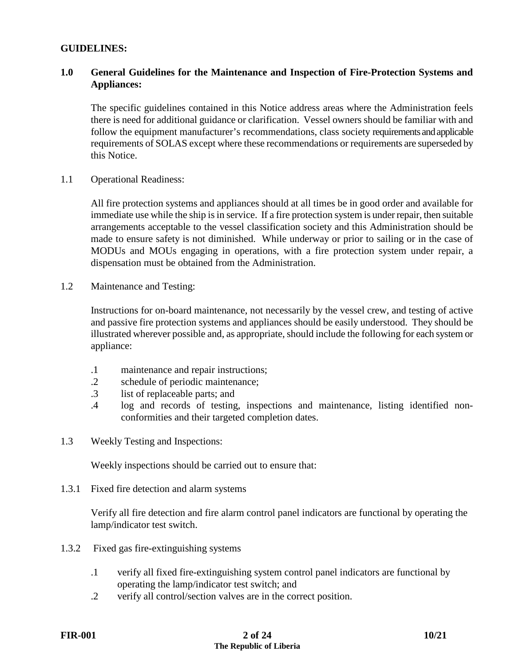#### **GUIDELINES:**

### **1.0 General Guidelines for the Maintenance and Inspection of Fire-Protection Systems and Appliances:**

The specific guidelines contained in this Notice address areas where the Administration feels there is need for additional guidance or clarification. Vessel owners should be familiar with and follow the equipment manufacturer's recommendations, class society requirements and applicable requirements of SOLAS except where these recommendations or requirements are superseded by this Notice.

1.1 Operational Readiness:

All fire protection systems and appliances should at all times be in good order and available for immediate use while the ship is in service. If a fire protection system is under repair, then suitable arrangements acceptable to the vessel classification society and this Administration should be made to ensure safety is not diminished. While underway or prior to sailing or in the case of MODUs and MOUs engaging in operations, with a fire protection system under repair, a dispensation must be obtained from the Administration.

1.2 Maintenance and Testing:

Instructions for on-board maintenance, not necessarily by the vessel crew, and testing of active and passive fire protection systems and appliances should be easily understood. They should be illustrated wherever possible and, as appropriate, should include the following for each system or appliance:

- .1 maintenance and repair instructions;
- .2 schedule of periodic maintenance;
- .3 list of replaceable parts; and
- .4 log and records of testing, inspections and maintenance, listing identified nonconformities and their targeted completion dates.
- 1.3 Weekly Testing and Inspections:

Weekly inspections should be carried out to ensure that:

1.3.1 Fixed fire detection and alarm systems

Verify all fire detection and fire alarm control panel indicators are functional by operating the lamp/indicator test switch.

- 1.3.2 Fixed gas fire-extinguishing systems
	- .1 verify all fixed fire-extinguishing system control panel indicators are functional by operating the lamp/indicator test switch; and
	- .2 verify all control/section valves are in the correct position.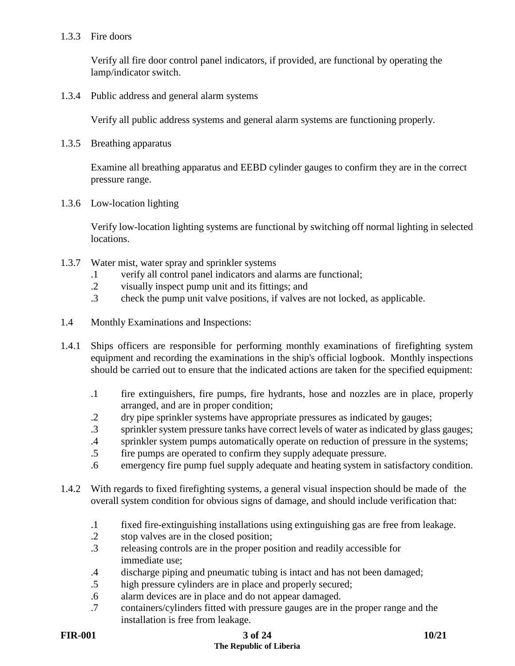#### 1.3.3 Fire doors

Verify all fire door control panel indicators, if provided, are functional by operating the lamp/indicator switch.

1.3.4 Public address and general alarm systems

Verify all public address systems and general alarm systems are functioning properly.

1.3.5 Breathing apparatus

Examine all breathing apparatus and EEBD cylinder gauges to confirm they are in the correct pressure range.

1.3.6 Low-location lighting

Verify low-location lighting systems are functional by switching off normal lighting in selected locations.

- 1.3.7 Water mist, water spray and sprinkler systems
	- .1 verify all control panel indicators and alarms are functional;
	- .2 visually inspect pump unit and its fittings; and
	- .3 check the pump unit valve positions, if valves are not locked, as applicable.
- 1.4 Monthly Examinations and Inspections:
- 1.4.1 Ships officers are responsible for performing monthly examinations of firefighting system equipment and recording the examinations in the ship's official logbook. Monthly inspections should be carried out to ensure that the indicated actions are taken for the specified equipment:
	- .1 fire extinguishers, fire pumps, fire hydrants, hose and nozzles are in place, properly arranged, and are in proper condition;
	- .2 dry pipe sprinkler systems have appropriate pressures as indicated by gauges;
	- .3 sprinkler system pressure tanks have correct levels of water as indicated by glass gauges;
	- .4 sprinkler system pumps automatically operate on reduction of pressure in the systems;
	- .5 fire pumps are operated to confirm they supply adequate pressure.
	- .6 emergency fire pump fuel supply adequate and heating system in satisfactory condition.
- 1.4.2 With regards to fixed firefighting systems, a general visual inspection should be made of the overall system condition for obvious signs of damage, and should include verification that:
	- .1 fixed fire-extinguishing installations using extinguishing gas are free from leakage.
	- .2 stop valves are in the closed position;
	- .3 releasing controls are in the proper position and readily accessible for immediate use;
	- .4 discharge piping and pneumatic tubing is intact and has not been damaged;
	- .5 high pressure cylinders are in place and properly secured;
	- .6 alarm devices are in place and do not appear damaged.
	- .7 containers/cylinders fitted with pressure gauges are in the proper range and the installation is free from leakage.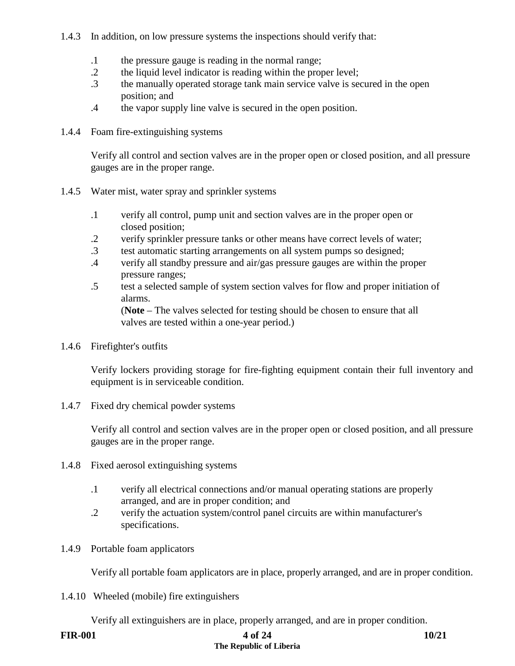### 1.4.3 In addition, on low pressure systems the inspections should verify that:

- .1 the pressure gauge is reading in the normal range;
- .2 the liquid level indicator is reading within the proper level;
- .3 the manually operated storage tank main service valve is secured in the open position; and
- .4 the vapor supply line valve is secured in the open position.
- 1.4.4 Foam fire-extinguishing systems

Verify all control and section valves are in the proper open or closed position, and all pressure gauges are in the proper range.

- 1.4.5 Water mist, water spray and sprinkler systems
	- .1 verify all control, pump unit and section valves are in the proper open or closed position;
	- .2 verify sprinkler pressure tanks or other means have correct levels of water;
	- .3 test automatic starting arrangements on all system pumps so designed;
	- .4 verify all standby pressure and air/gas pressure gauges are within the proper pressure ranges;
	- .5 test a selected sample of system section valves for flow and proper initiation of alarms.

(**Note** – The valves selected for testing should be chosen to ensure that all valves are tested within a one-year period.)

1.4.6 Firefighter's outfits

Verify lockers providing storage for fire-fighting equipment contain their full inventory and equipment is in serviceable condition.

1.4.7 Fixed dry chemical powder systems

Verify all control and section valves are in the proper open or closed position, and all pressure gauges are in the proper range.

- 1.4.8 Fixed aerosol extinguishing systems
	- .1 verify all electrical connections and/or manual operating stations are properly arranged, and are in proper condition; and
	- .2 verify the actuation system/control panel circuits are within manufacturer's specifications.
- 1.4.9 Portable foam applicators

Verify all portable foam applicators are in place, properly arranged, and are in proper condition.

1.4.10 Wheeled (mobile) fire extinguishers

Verify all extinguishers are in place, properly arranged, and are in proper condition.

# **FIR-001 4 of 24 10/21 The Republic of Liberia**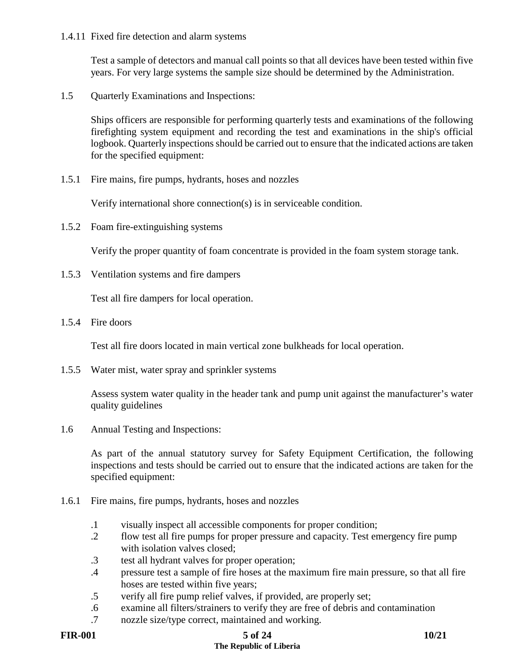1.4.11 Fixed fire detection and alarm systems

Test a sample of detectors and manual call points so that all devices have been tested within five years. For very large systems the sample size should be determined by the Administration.

1.5 Quarterly Examinations and Inspections:

Ships officers are responsible for performing quarterly tests and examinations of the following firefighting system equipment and recording the test and examinations in the ship's official logbook. Quarterly inspections should be carried out to ensure that the indicated actions are taken for the specified equipment:

1.5.1 Fire mains, fire pumps, hydrants, hoses and nozzles

Verify international shore connection(s) is in serviceable condition.

1.5.2 Foam fire-extinguishing systems

Verify the proper quantity of foam concentrate is provided in the foam system storage tank.

1.5.3 Ventilation systems and fire dampers

Test all fire dampers for local operation.

1.5.4 Fire doors

Test all fire doors located in main vertical zone bulkheads for local operation.

1.5.5 Water mist, water spray and sprinkler systems

Assess system water quality in the header tank and pump unit against the manufacturer's water quality guidelines

1.6 Annual Testing and Inspections:

As part of the annual statutory survey for Safety Equipment Certification, the following inspections and tests should be carried out to ensure that the indicated actions are taken for the specified equipment:

- 1.6.1 Fire mains, fire pumps, hydrants, hoses and nozzles
	- .1 visually inspect all accessible components for proper condition;
	- .2 flow test all fire pumps for proper pressure and capacity. Test emergency fire pump with isolation valves closed:
	- .3 test all hydrant valves for proper operation;
	- .4 pressure test a sample of fire hoses at the maximum fire main pressure, so that all fire hoses are tested within five years;
	- .5 verify all fire pump relief valves, if provided, are properly set;
	- .6 examine all filters/strainers to verify they are free of debris and contamination
	- .7 nozzle size/type correct, maintained and working.

#### **FIR-001 5 of 24 10/21 The Republic of Liberia**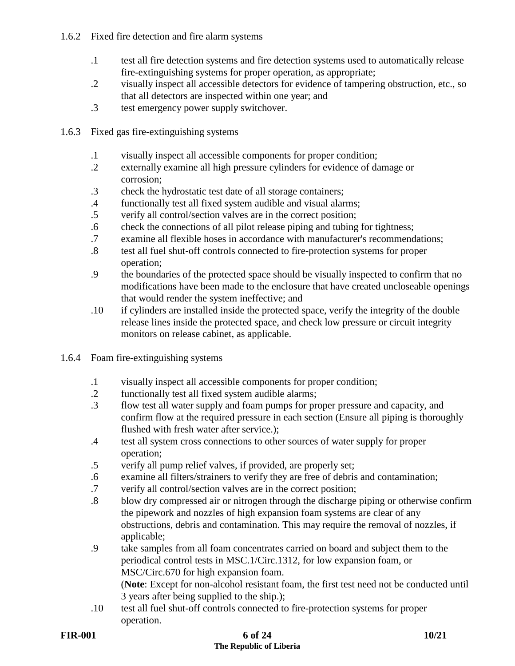# 1.6.2 Fixed fire detection and fire alarm systems

- .1 test all fire detection systems and fire detection systems used to automatically release fire-extinguishing systems for proper operation, as appropriate;
- .2 visually inspect all accessible detectors for evidence of tampering obstruction, etc., so that all detectors are inspected within one year; and
- .3 test emergency power supply switchover.
- 1.6.3 Fixed gas fire-extinguishing systems
	- .1 visually inspect all accessible components for proper condition;
	- .2 externally examine all high pressure cylinders for evidence of damage or corrosion;
	- .3 check the hydrostatic test date of all storage containers;
	- .4 functionally test all fixed system audible and visual alarms;
	- .5 verify all control/section valves are in the correct position;
	- .6 check the connections of all pilot release piping and tubing for tightness;
	- .7 examine all flexible hoses in accordance with manufacturer's recommendations;
	- .8 test all fuel shut-off controls connected to fire-protection systems for proper operation;
	- .9 the boundaries of the protected space should be visually inspected to confirm that no modifications have been made to the enclosure that have created uncloseable openings that would render the system ineffective; and
	- .10 if cylinders are installed inside the protected space, verify the integrity of the double release lines inside the protected space, and check low pressure or circuit integrity monitors on release cabinet, as applicable.
- 1.6.4 Foam fire-extinguishing systems
	- .1 visually inspect all accessible components for proper condition;
	- .2 functionally test all fixed system audible alarms;
	- .3 flow test all water supply and foam pumps for proper pressure and capacity, and confirm flow at the required pressure in each section (Ensure all piping is thoroughly flushed with fresh water after service.);
	- .4 test all system cross connections to other sources of water supply for proper operation;
	- .5 verify all pump relief valves, if provided, are properly set;
	- .6 examine all filters/strainers to verify they are free of debris and contamination;
	- .7 verify all control/section valves are in the correct position;
	- .8 blow dry compressed air or nitrogen through the discharge piping or otherwise confirm the pipework and nozzles of high expansion foam systems are clear of any obstructions, debris and contamination. This may require the removal of nozzles, if applicable;
	- .9 take samples from all foam concentrates carried on board and subject them to the periodical control tests in MSC.1/Circ.1312, for low expansion foam, or MSC/Circ.670 for high expansion foam.

(**Note**: Except for non-alcohol resistant foam, the first test need not be conducted until 3 years after being supplied to the ship.);

.10 test all fuel shut-off controls connected to fire-protection systems for proper operation.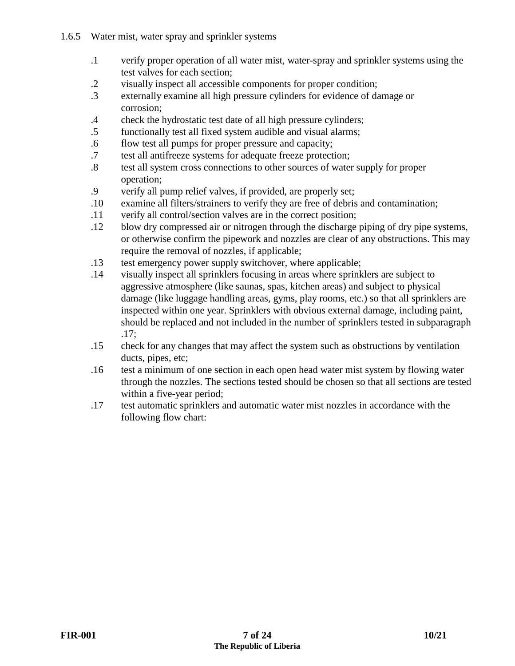- 1.6.5 Water mist, water spray and sprinkler systems
	- .1 verify proper operation of all water mist, water-spray and sprinkler systems using the test valves for each section;
	- .2 visually inspect all accessible components for proper condition;
	- .3 externally examine all high pressure cylinders for evidence of damage or corrosion;
	- .4 check the hydrostatic test date of all high pressure cylinders;
	- .5 functionally test all fixed system audible and visual alarms;
	- .6 flow test all pumps for proper pressure and capacity;
	- .7 test all antifreeze systems for adequate freeze protection;
	- .8 test all system cross connections to other sources of water supply for proper operation;<br>9 verify all n
	- verify all pump relief valves, if provided, are properly set;
	- .10 examine all filters/strainers to verify they are free of debris and contamination;
	- .11 verify all control/section valves are in the correct position;
	- .12 blow dry compressed air or nitrogen through the discharge piping of dry pipe systems, or otherwise confirm the pipework and nozzles are clear of any obstructions. This may require the removal of nozzles, if applicable;
	- .13 test emergency power supply switchover, where applicable;
	- .14 visually inspect all sprinklers focusing in areas where sprinklers are subject to aggressive atmosphere (like saunas, spas, kitchen areas) and subject to physical damage (like luggage handling areas, gyms, play rooms, etc.) so that all sprinklers are inspected within one year. Sprinklers with obvious external damage, including paint, should be replaced and not included in the number of sprinklers tested in subparagraph .17;
	- .15 check for any changes that may affect the system such as obstructions by ventilation ducts, pipes, etc;
	- .16 test a minimum of one section in each open head water mist system by flowing water through the nozzles. The sections tested should be chosen so that all sections are tested within a five-year period;
	- .17 test automatic sprinklers and automatic water mist nozzles in accordance with the following flow chart: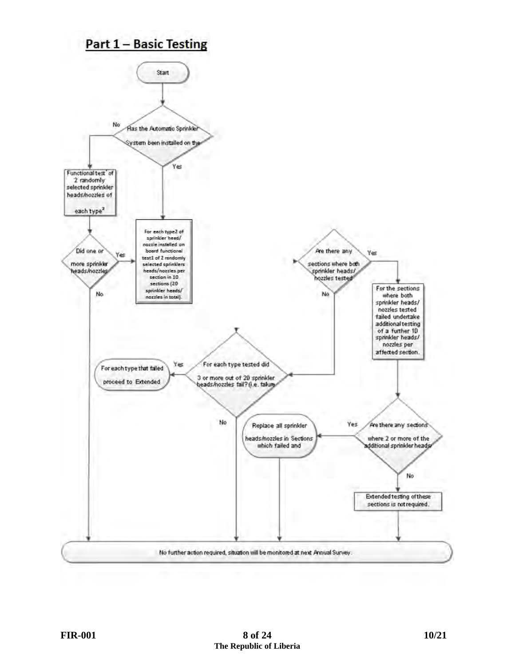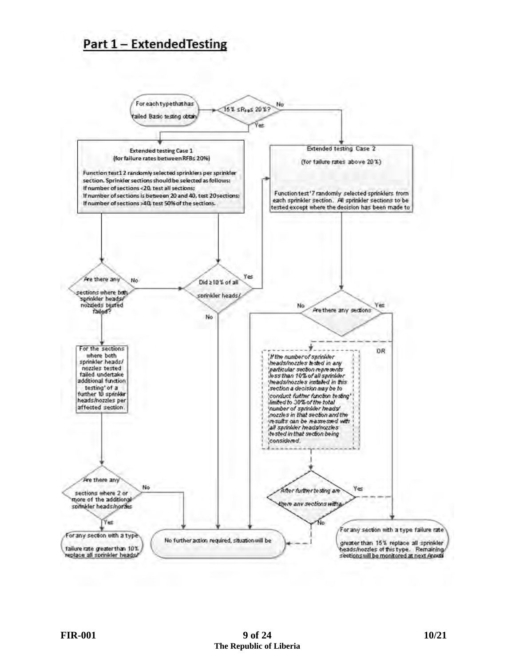# **Part 1 - Extended Testing**

![](_page_8_Figure_1.jpeg)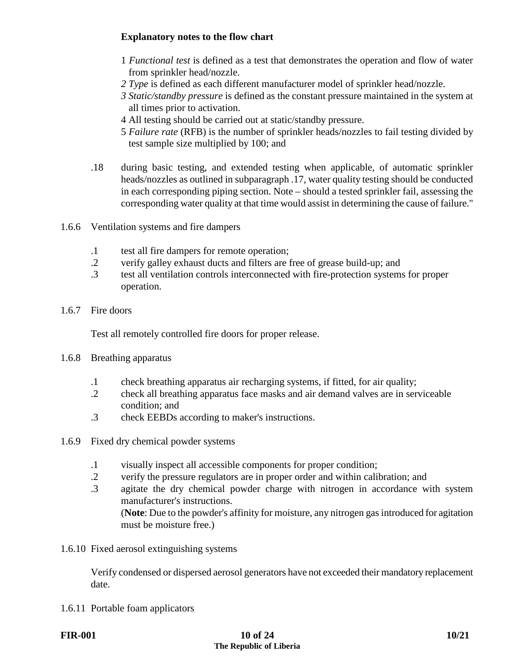# **Explanatory notes to the flow chart**

- 1 *Functional test* is defined as a test that demonstrates the operation and flow of water from sprinkler head/nozzle.
- *2 Type* is defined as each different manufacturer model of sprinkler head/nozzle.
- *3 Static/standby pressure* is defined as the constant pressure maintained in the system at all times prior to activation.
- 4 All testing should be carried out at static/standby pressure.
- 5 *Failure rate* (RFB) is the number of sprinkler heads/nozzles to fail testing divided by test sample size multiplied by 100; and
- .18 during basic testing, and extended testing when applicable, of automatic sprinkler heads/nozzles as outlined in subparagraph .17, water quality testing should be conducted in each corresponding piping section. Note – should a tested sprinkler fail, assessing the corresponding water quality at that time would assist in determining the cause of failure."
- 1.6.6 Ventilation systems and fire dampers
	- .1 test all fire dampers for remote operation;
	- .2 verify galley exhaust ducts and filters are free of grease build-up; and
	- .3 test all ventilation controls interconnected with fire-protection systems for proper operation.
- 1.6.7 Fire doors

Test all remotely controlled fire doors for proper release.

- 1.6.8 Breathing apparatus
	- .1 check breathing apparatus air recharging systems, if fitted, for air quality;
	- .2 check all breathing apparatus face masks and air demand valves are in serviceable condition; and
	- .3 check EEBDs according to maker's instructions.
- 1.6.9 Fixed dry chemical powder systems
	- .1 visually inspect all accessible components for proper condition;
	- .2 verify the pressure regulators are in proper order and within calibration; and
	- .3 agitate the dry chemical powder charge with nitrogen in accordance with system manufacturer's instructions.

(**Note**: Due to the powder's affinity for moisture, any nitrogen gas introduced for agitation must be moisture free.)

1.6.10 Fixed aerosol extinguishing systems

Verify condensed or dispersed aerosol generators have not exceeded their mandatory replacement date.

1.6.11 Portable foam applicators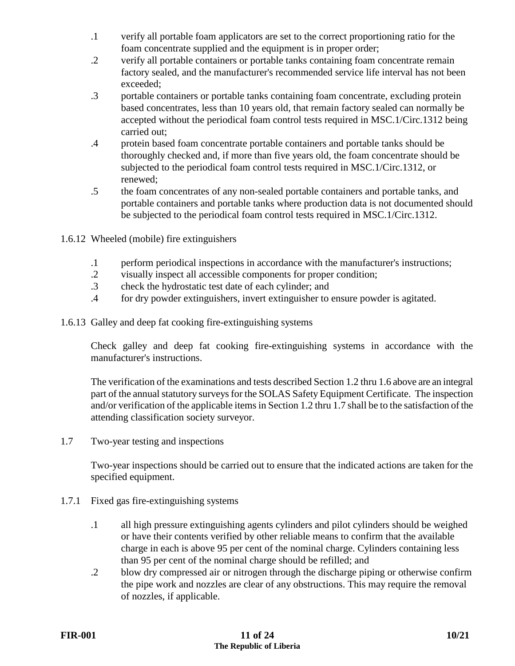- .1 verify all portable foam applicators are set to the correct proportioning ratio for the foam concentrate supplied and the equipment is in proper order;
- .2 verify all portable containers or portable tanks containing foam concentrate remain factory sealed, and the manufacturer's recommended service life interval has not been exceeded;
- .3 portable containers or portable tanks containing foam concentrate, excluding protein based concentrates, less than 10 years old, that remain factory sealed can normally be accepted without the periodical foam control tests required in MSC.1/Circ.1312 being carried out;
- .4 protein based foam concentrate portable containers and portable tanks should be thoroughly checked and, if more than five years old, the foam concentrate should be subjected to the periodical foam control tests required in MSC.1/Circ.1312, or renewed;
- .5 the foam concentrates of any non-sealed portable containers and portable tanks, and portable containers and portable tanks where production data is not documented should be subjected to the periodical foam control tests required in MSC.1/Circ.1312.
- 1.6.12 Wheeled (mobile) fire extinguishers
	- .1 perform periodical inspections in accordance with the manufacturer's instructions;
	- .2 visually inspect all accessible components for proper condition;
	- .3 check the hydrostatic test date of each cylinder; and
	- .4 for dry powder extinguishers, invert extinguisher to ensure powder is agitated.
- 1.6.13 Galley and deep fat cooking fire-extinguishing systems

Check galley and deep fat cooking fire-extinguishing systems in accordance with the manufacturer's instructions.

The verification of the examinations and tests described Section 1.2 thru 1.6 above are an integral part of the annual statutory surveys for the SOLAS Safety Equipment Certificate. The inspection and/or verification of the applicable items in Section 1.2 thru 1.7 shall be to the satisfaction of the attending classification society surveyor.

1.7 Two-year testing and inspections

Two-year inspections should be carried out to ensure that the indicated actions are taken for the specified equipment.

- 1.7.1 Fixed gas fire-extinguishing systems
	- .1 all high pressure extinguishing agents cylinders and pilot cylinders should be weighed or have their contents verified by other reliable means to confirm that the available charge in each is above 95 per cent of the nominal charge. Cylinders containing less than 95 per cent of the nominal charge should be refilled; and
	- .2 blow dry compressed air or nitrogen through the discharge piping or otherwise confirm the pipe work and nozzles are clear of any obstructions. This may require the removal of nozzles, if applicable.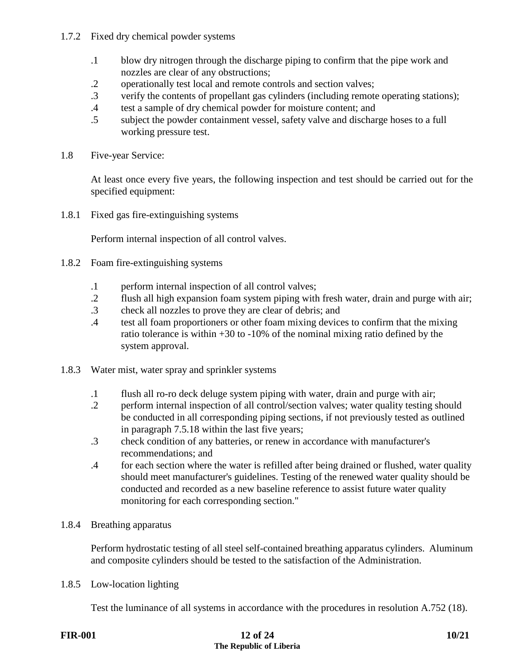# 1.7.2 Fixed dry chemical powder systems

- .1 blow dry nitrogen through the discharge piping to confirm that the pipe work and nozzles are clear of any obstructions;
- .2 operationally test local and remote controls and section valves;
- .3 verify the contents of propellant gas cylinders (including remote operating stations);
- .4 test a sample of dry chemical powder for moisture content; and
- .5 subject the powder containment vessel, safety valve and discharge hoses to a full working pressure test.
- 1.8 Five-year Service:

At least once every five years, the following inspection and test should be carried out for the specified equipment:

1.8.1 Fixed gas fire-extinguishing systems

Perform internal inspection of all control valves.

- 1.8.2 Foam fire-extinguishing systems
	- .1 perform internal inspection of all control valves;
	- .2 flush all high expansion foam system piping with fresh water, drain and purge with air;
	- .3 check all nozzles to prove they are clear of debris; and
	- .4 test all foam proportioners or other foam mixing devices to confirm that the mixing ratio tolerance is within +30 to -10% of the nominal mixing ratio defined by the system approval.
- 1.8.3 Water mist, water spray and sprinkler systems
	- .1 flush all ro-ro deck deluge system piping with water, drain and purge with air;
	- .2 perform internal inspection of all control/section valves; water quality testing should be conducted in all corresponding piping sections, if not previously tested as outlined in paragraph 7.5.18 within the last five years;
	- .3 check condition of any batteries, or renew in accordance with manufacturer's recommendations; and
	- .4 for each section where the water is refilled after being drained or flushed, water quality should meet manufacturer's guidelines. Testing of the renewed water quality should be conducted and recorded as a new baseline reference to assist future water quality monitoring for each corresponding section."
- 1.8.4 Breathing apparatus

Perform hydrostatic testing of all steel self-contained breathing apparatus cylinders. Aluminum and composite cylinders should be tested to the satisfaction of the Administration.

1.8.5 Low-location lighting

Test the luminance of all systems in accordance with the procedures in resolution A.752 (18).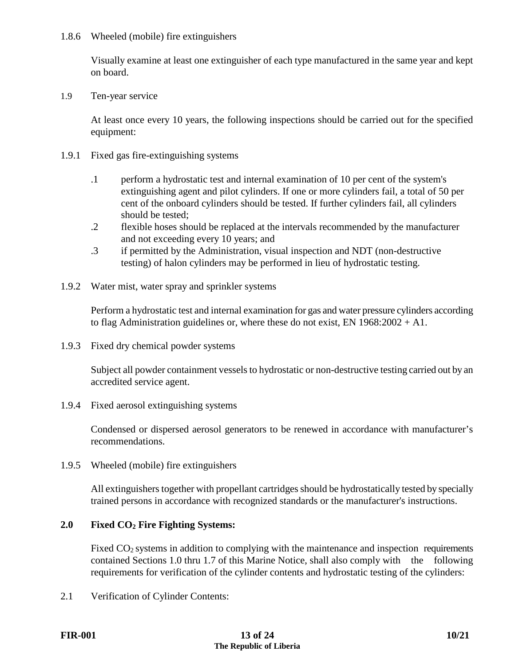#### 1.8.6 Wheeled (mobile) fire extinguishers

Visually examine at least one extinguisher of each type manufactured in the same year and kept on board.

1.9 Ten-year service

At least once every 10 years, the following inspections should be carried out for the specified equipment:

- 1.9.1 Fixed gas fire-extinguishing systems
	- .1 perform a hydrostatic test and internal examination of 10 per cent of the system's extinguishing agent and pilot cylinders. If one or more cylinders fail, a total of 50 per cent of the onboard cylinders should be tested. If further cylinders fail, all cylinders should be tested;
	- .2 flexible hoses should be replaced at the intervals recommended by the manufacturer and not exceeding every 10 years; and
	- .3 if permitted by the Administration, visual inspection and NDT (non-destructive testing) of halon cylinders may be performed in lieu of hydrostatic testing.
- 1.9.2 Water mist, water spray and sprinkler systems

Perform a hydrostatic test and internal examination for gas and water pressure cylinders according to flag Administration guidelines or, where these do not exist, EN  $1968:2002 + A1$ .

1.9.3 Fixed dry chemical powder systems

Subject all powder containment vessels to hydrostatic or non-destructive testing carried out by an accredited service agent.

1.9.4 Fixed aerosol extinguishing systems

Condensed or dispersed aerosol generators to be renewed in accordance with manufacturer's recommendations.

1.9.5 Wheeled (mobile) fire extinguishers

All extinguishers together with propellant cartridges should be hydrostatically tested by specially trained persons in accordance with recognized standards or the manufacturer's instructions.

#### **2.0 Fixed CO2 Fire Fighting Systems:**

Fixed CO<sub>2</sub> systems in addition to complying with the maintenance and inspection requirements contained Sections 1.0 thru 1.7 of this Marine Notice, shall also comply with the following requirements for verification of the cylinder contents and hydrostatic testing of the cylinders:

2.1 Verification of Cylinder Contents: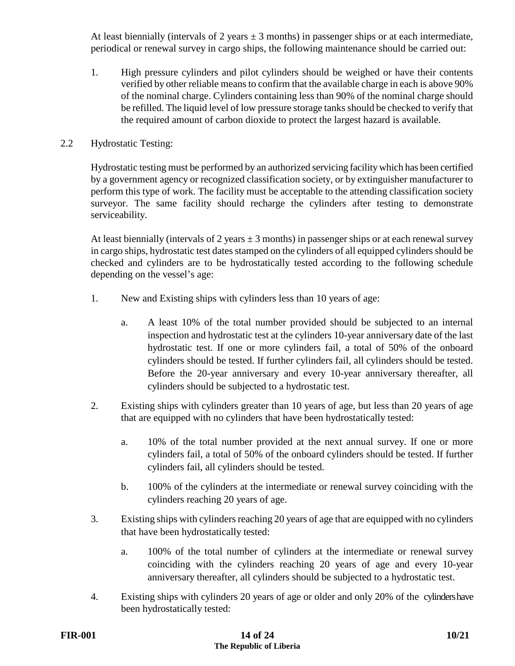At least biennially (intervals of 2 years  $\pm$  3 months) in passenger ships or at each intermediate, periodical or renewal survey in cargo ships, the following maintenance should be carried out:

1. High pressure cylinders and pilot cylinders should be weighed or have their contents verified by other reliable means to confirm that the available charge in each is above 90% of the nominal charge. Cylinders containing less than 90% of the nominal charge should be refilled. The liquid level of low pressure storage tanks should be checked to verify that the required amount of carbon dioxide to protect the largest hazard is available.

#### 2.2 Hydrostatic Testing:

Hydrostatic testing must be performed by an authorized servicing facility which has been certified by a government agency or recognized classification society, or by extinguisher manufacturer to perform this type of work. The facility must be acceptable to the attending classification society surveyor. The same facility should recharge the cylinders after testing to demonstrate serviceability.

At least biennially (intervals of 2 years  $\pm 3$  months) in passenger ships or at each renewal survey in cargo ships, hydrostatic test dates stamped on the cylinders of all equipped cylinders should be checked and cylinders are to be hydrostatically tested according to the following schedule depending on the vessel's age:

- 1. New and Existing ships with cylinders less than 10 years of age:
	- a. A least 10% of the total number provided should be subjected to an internal inspection and hydrostatic test at the cylinders 10-year anniversary date of the last hydrostatic test. If one or more cylinders fail, a total of 50% of the onboard cylinders should be tested. If further cylinders fail, all cylinders should be tested. Before the 20-year anniversary and every 10-year anniversary thereafter, all cylinders should be subjected to a hydrostatic test.
- 2. Existing ships with cylinders greater than 10 years of age, but less than 20 years of age that are equipped with no cylinders that have been hydrostatically tested:
	- a. 10% of the total number provided at the next annual survey. If one or more cylinders fail, a total of 50% of the onboard cylinders should be tested. If further cylinders fail, all cylinders should be tested.
	- b. 100% of the cylinders at the intermediate or renewal survey coinciding with the cylinders reaching 20 years of age.
- 3. Existing ships with cylinders reaching 20 years of age that are equipped with no cylinders that have been hydrostatically tested:
	- a. 100% of the total number of cylinders at the intermediate or renewal survey coinciding with the cylinders reaching 20 years of age and every 10-year anniversary thereafter, all cylinders should be subjected to a hydrostatic test.
- 4. Existing ships with cylinders 20 years of age or older and only 20% of the cylinders have been hydrostatically tested: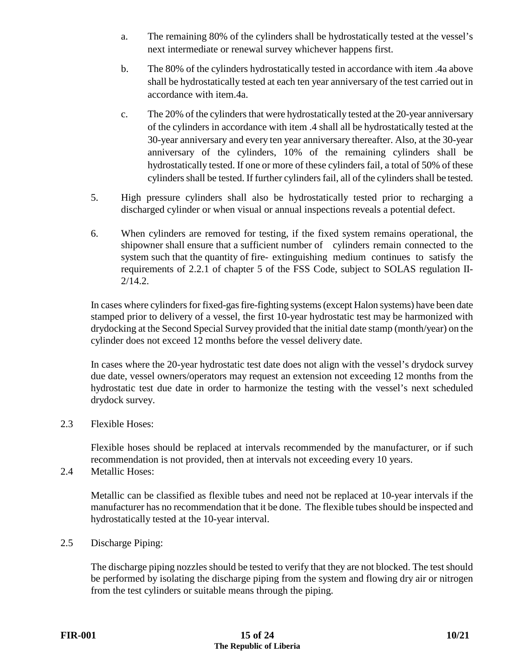- a. The remaining 80% of the cylinders shall be hydrostatically tested at the vessel's next intermediate or renewal survey whichever happens first.
- b. The 80% of the cylinders hydrostatically tested in accordance with item .4a above shall be hydrostatically tested at each ten year anniversary of the test carried out in accordance with item.4a.
- c. The 20% of the cylinders that were hydrostatically tested at the 20-year anniversary of the cylinders in accordance with item .4 shall all be hydrostatically tested at the 30-year anniversary and every ten year anniversary thereafter. Also, at the 30-year anniversary of the cylinders, 10% of the remaining cylinders shall be hydrostatically tested. If one or more of these cylinders fail, a total of 50% of these cylinders shall be tested. If further cylinders fail, all of the cylinders shall be tested.
- 5. High pressure cylinders shall also be hydrostatically tested prior to recharging a discharged cylinder or when visual or annual inspections reveals a potential defect.
- 6. When cylinders are removed for testing, if the fixed system remains operational, the shipowner shall ensure that a sufficient number of cylinders remain connected to the system such that the quantity of fire- extinguishing medium continues to satisfy the requirements of 2.2.1 of chapter 5 of the FSS Code, subject to SOLAS regulation II-2/14.2.

In cases where cylinders for fixed-gas fire-fighting systems (except Halon systems) have been date stamped prior to delivery of a vessel, the first 10-year hydrostatic test may be harmonized with drydocking at the Second Special Survey provided that the initial date stamp (month/year) on the cylinder does not exceed 12 months before the vessel delivery date.

In cases where the 20-year hydrostatic test date does not align with the vessel's drydock survey due date, vessel owners/operators may request an extension not exceeding 12 months from the hydrostatic test due date in order to harmonize the testing with the vessel's next scheduled drydock survey.

2.3 Flexible Hoses:

Flexible hoses should be replaced at intervals recommended by the manufacturer, or if such recommendation is not provided, then at intervals not exceeding every 10 years.

2.4 Metallic Hoses:

Metallic can be classified as flexible tubes and need not be replaced at 10-year intervals if the manufacturer has no recommendation that it be done. The flexible tubes should be inspected and hydrostatically tested at the 10-year interval.

2.5 Discharge Piping:

The discharge piping nozzles should be tested to verify that they are not blocked. The test should be performed by isolating the discharge piping from the system and flowing dry air or nitrogen from the test cylinders or suitable means through the piping.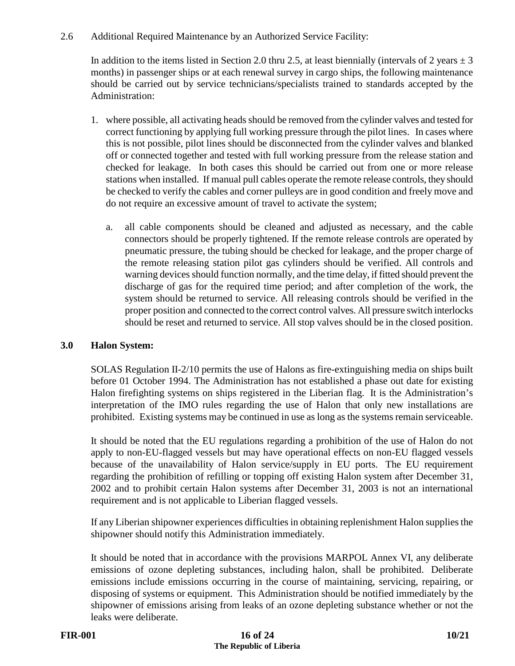# 2.6 Additional Required Maintenance by an Authorized Service Facility:

In addition to the items listed in Section 2.0 thru 2.5, at least biennially (intervals of 2 years  $\pm$  3 months) in passenger ships or at each renewal survey in cargo ships, the following maintenance should be carried out by service technicians/specialists trained to standards accepted by the Administration:

- 1. where possible, all activating heads should be removed from the cylinder valves and tested for correct functioning by applying full working pressure through the pilot lines. In cases where this is not possible, pilot lines should be disconnected from the cylinder valves and blanked off or connected together and tested with full working pressure from the release station and checked for leakage. In both cases this should be carried out from one or more release stations when installed. If manual pull cables operate the remote release controls, they should be checked to verify the cables and corner pulleys are in good condition and freely move and do not require an excessive amount of travel to activate the system;
	- a. all cable components should be cleaned and adjusted as necessary, and the cable connectors should be properly tightened. If the remote release controls are operated by pneumatic pressure, the tubing should be checked for leakage, and the proper charge of the remote releasing station pilot gas cylinders should be verified. All controls and warning devices should function normally, and the time delay, if fitted should prevent the discharge of gas for the required time period; and after completion of the work, the system should be returned to service. All releasing controls should be verified in the proper position and connected to the correct control valves. All pressure switch interlocks should be reset and returned to service. All stop valves should be in the closed position.

# **3.0 Halon System:**

SOLAS Regulation II-2/10 permits the use of Halons as fire-extinguishing media on ships built before 01 October 1994. The Administration has not established a phase out date for existing Halon firefighting systems on ships registered in the Liberian flag. It is the Administration's interpretation of the IMO rules regarding the use of Halon that only new installations are prohibited. Existing systems may be continued in use as long as the systems remain serviceable.

It should be noted that the EU regulations regarding a prohibition of the use of Halon do not apply to non-EU-flagged vessels but may have operational effects on non-EU flagged vessels because of the unavailability of Halon service/supply in EU ports. The EU requirement regarding the prohibition of refilling or topping off existing Halon system after December 31, 2002 and to prohibit certain Halon systems after December 31, 2003 is not an international requirement and is not applicable to Liberian flagged vessels.

If any Liberian shipowner experiences difficulties in obtaining replenishment Halon supplies the shipowner should notify this Administration immediately.

It should be noted that in accordance with the provisions MARPOL Annex VI, any deliberate emissions of ozone depleting substances, including halon, shall be prohibited. Deliberate emissions include emissions occurring in the course of maintaining, servicing, repairing, or disposing of systems or equipment. This Administration should be notified immediately by the shipowner of emissions arising from leaks of an ozone depleting substance whether or not the leaks were deliberate.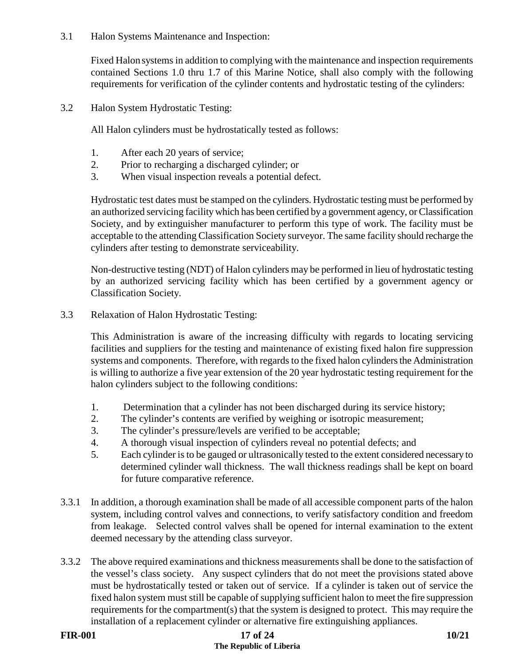3.1 Halon Systems Maintenance and Inspection:

Fixed Halon systems in addition to complying with the maintenance and inspection requirements contained Sections 1.0 thru 1.7 of this Marine Notice, shall also comply with the following requirements for verification of the cylinder contents and hydrostatic testing of the cylinders:

3.2 Halon System Hydrostatic Testing:

All Halon cylinders must be hydrostatically tested as follows:

- 1. After each 20 years of service;
- 2. Prior to recharging a discharged cylinder; or
- 3. When visual inspection reveals a potential defect.

Hydrostatic test dates must be stamped on the cylinders. Hydrostatic testing must be performed by an authorized servicing facility which has been certified by a government agency, or Classification Society, and by extinguisher manufacturer to perform this type of work. The facility must be acceptable to the attending Classification Society surveyor. The same facility should recharge the cylinders after testing to demonstrate serviceability.

Non-destructive testing (NDT) of Halon cylinders may be performed in lieu of hydrostatic testing by an authorized servicing facility which has been certified by a government agency or Classification Society.

3.3 Relaxation of Halon Hydrostatic Testing:

This Administration is aware of the increasing difficulty with regards to locating servicing facilities and suppliers for the testing and maintenance of existing fixed halon fire suppression systems and components. Therefore, with regards to the fixed halon cylinders the Administration is willing to authorize a five year extension of the 20 year hydrostatic testing requirement for the halon cylinders subject to the following conditions:

- 1. Determination that a cylinder has not been discharged during its service history;
- 2. The cylinder's contents are verified by weighing or isotropic measurement;<br>3. The cylinder's pressure/levels are verified to be acceptable:
- The cylinder's pressure/levels are verified to be acceptable;
- 4. A thorough visual inspection of cylinders reveal no potential defects; and
- 5. Each cylinder is to be gauged or ultrasonically tested to the extent considered necessary to determined cylinder wall thickness. The wall thickness readings shall be kept on board for future comparative reference.
- 3.3.1 In addition, a thorough examination shall be made of all accessible component parts of the halon system, including control valves and connections, to verify satisfactory condition and freedom from leakage. Selected control valves shall be opened for internal examination to the extent deemed necessary by the attending class surveyor.
- 3.3.2 The above required examinations and thickness measurements shall be done to the satisfaction of the vessel's class society. Any suspect cylinders that do not meet the provisions stated above must be hydrostatically tested or taken out of service. If a cylinder is taken out of service the fixed halon system must still be capable of supplying sufficient halon to meet the fire suppression requirements for the compartment(s) that the system is designed to protect. This may require the installation of a replacement cylinder or alternative fire extinguishing appliances.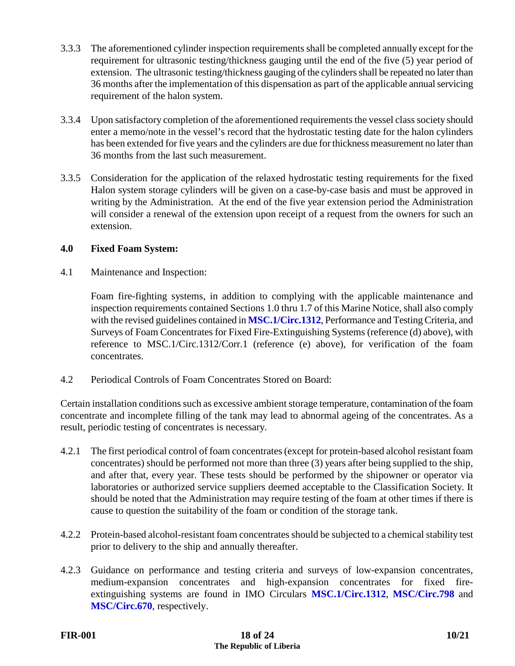- 3.3.3 The aforementioned cylinder inspection requirements shall be completed annually except for the requirement for ultrasonic testing/thickness gauging until the end of the five (5) year period of extension. The ultrasonic testing/thickness gauging of the cylinders shall be repeated no later than 36 months after the implementation of this dispensation as part of the applicable annual servicing requirement of the halon system.
- 3.3.4 Upon satisfactory completion of the aforementioned requirements the vessel class society should enter a memo/note in the vessel's record that the hydrostatic testing date for the halon cylinders has been extended for five years and the cylinders are due for thickness measurement no later than 36 months from the last such measurement.
- 3.3.5 Consideration for the application of the relaxed hydrostatic testing requirements for the fixed Halon system storage cylinders will be given on a case-by-case basis and must be approved in writing by the Administration. At the end of the five year extension period the Administration will consider a renewal of the extension upon receipt of a request from the owners for such an extension.

#### **4.0 Fixed Foam System:**

4.1 Maintenance and Inspection:

Foam fire-fighting systems, in addition to complying with the applicable maintenance and inspection requirements contained Sections 1.0 thru 1.7 of this Marine Notice, shall also comply with the revised guidelines contained in **[MSC.1/Circ.1312](https://www.liscr.com/sites/default/files/liscr_imo_resolutions/MSC.1-Circ.1312%20-%20Guidelines%20for%20the%20performance%20and%20testing%20criteria%2C%20and%20surveys%20of%20low-expansion%20foam%20FFF%20systems.pdf)**, Performance and Testing Criteria, and Surveys of Foam Concentrates for Fixed Fire-Extinguishing Systems (reference (d) above), with reference to MSC.1/Circ.1312/Corr.1 (reference (e) above), for verification of the foam concentrates.

4.2 Periodical Controls of Foam Concentrates Stored on Board:

Certain installation conditions such as excessive ambient storage temperature, contamination of the foam concentrate and incomplete filling of the tank may lead to abnormal ageing of the concentrates. As a result, periodic testing of concentrates is necessary.

- 4.2.1 The first periodical control of foam concentrates (except for protein-based alcohol resistant foam concentrates) should be performed not more than three (3) years after being supplied to the ship, and after that, every year. These tests should be performed by the shipowner or operator via laboratories or authorized service suppliers deemed acceptable to the Classification Society. It should be noted that the Administration may require testing of the foam at other times if there is cause to question the suitability of the foam or condition of the storage tank.
- 4.2.2 Protein-based alcohol-resistant foam concentrates should be subjected to a chemical stability test prior to delivery to the ship and annually thereafter.
- 4.2.3 Guidance on performance and testing criteria and surveys of low-expansion concentrates, medium-expansion concentrates and high-expansion concentrates for fixed fireextinguishing systems are found in IMO Circulars **[MSC.1/Circ.1312](https://www.liscr.com/sites/default/files/liscr_imo_resolutions/MSC.1-Circ.1312%20-%20Guidelines%20for%20the%20performance%20and%20testing%20criteria%2C%20and%20surveys%20of%20low-expansion%20foam%20FFF%20systems.pdf)**, **[MSC/Circ.798](https://www.liscr.com/sites/default/files/liscr_imo_resolutions/MSC-Circ.798.pdf)** and **[MSC/Circ.670](https://www.liscr.com/sites/default/files/liscr_imo_resolutions/MSC-Circ.670.pdf)**, respectively.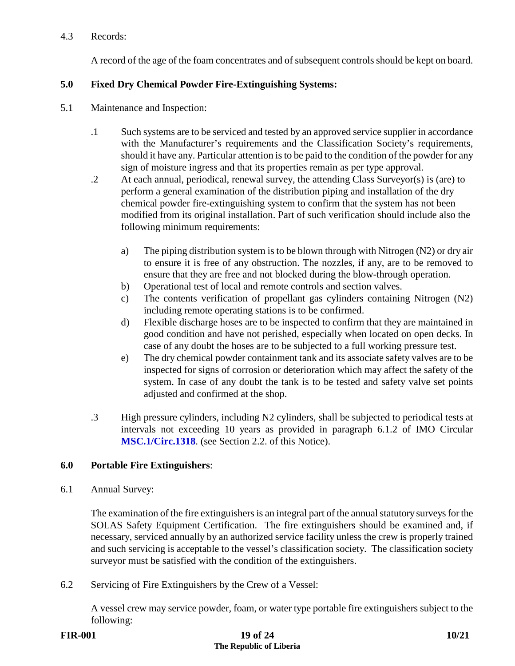### 4.3 Records:

A record of the age of the foam concentrates and of subsequent controls should be kept on board.

# **5.0 Fixed Dry Chemical Powder Fire-Extinguishing Systems:**

- 5.1 Maintenance and Inspection:
	- .1 Such systems are to be serviced and tested by an approved service supplier in accordance with the Manufacturer's requirements and the Classification Society's requirements, should it have any. Particular attention is to be paid to the condition of the powder for any sign of moisture ingress and that its properties remain as per type approval.
	- .2 At each annual, periodical, renewal survey, the attending Class Surveyor(s) is (are) to perform a general examination of the distribution piping and installation of the dry chemical powder fire-extinguishing system to confirm that the system has not been modified from its original installation. Part of such verification should include also the following minimum requirements:
		- a) The piping distribution system is to be blown through with Nitrogen (N2) or dry air to ensure it is free of any obstruction. The nozzles, if any, are to be removed to ensure that they are free and not blocked during the blow-through operation.
		- b) Operational test of local and remote controls and section valves.
		- c) The contents verification of propellant gas cylinders containing Nitrogen (N2) including remote operating stations is to be confirmed.
		- d) Flexible discharge hoses are to be inspected to confirm that they are maintained in good condition and have not perished, especially when located on open decks. In case of any doubt the hoses are to be subjected to a full working pressure test.
		- e) The dry chemical powder containment tank and its associate safety valves are to be inspected for signs of corrosion or deterioration which may affect the safety of the system. In case of any doubt the tank is to be tested and safety valve set points adjusted and confirmed at the shop.
	- .3 High pressure cylinders, including N2 cylinders, shall be subjected to periodical tests at intervals not exceeding 10 years as provided in paragraph 6.1.2 of IMO Circular **[MSC.1/Circ.1318](https://www.liscr.com/sites/default/files/liscr_imo_resolutions/MSC.1-Circ.1318%20Maint%20and%20Inspect%20of%20fixed%20CO2%20FF%20sys.pdf)**. (see Section 2.2. of this Notice).

# **6.0 Portable Fire Extinguishers**:

6.1 Annual Survey:

The examination of the fire extinguishers is an integral part of the annual statutory surveys for the SOLAS Safety Equipment Certification. The fire extinguishers should be examined and, if necessary, serviced annually by an authorized service facility unless the crew is properly trained and such servicing is acceptable to the vessel's classification society. The classification society surveyor must be satisfied with the condition of the extinguishers.

6.2 Servicing of Fire Extinguishers by the Crew of a Vessel:

A vessel crew may service powder, foam, or water type portable fire extinguishers subject to the following: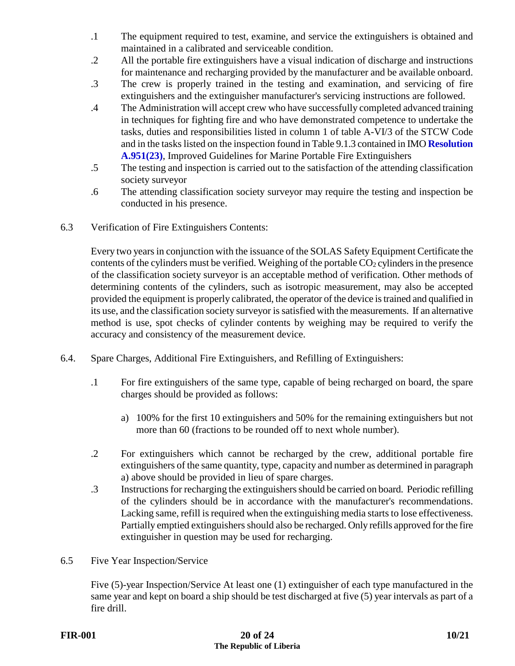- .1 The equipment required to test, examine, and service the extinguishers is obtained and maintained in a calibrated and serviceable condition.
- .2 All the portable fire extinguishers have a visual indication of discharge and instructions for maintenance and recharging provided by the manufacturer and be available onboard.
- .3 The crew is properly trained in the testing and examination, and servicing of fire extinguishers and the extinguisher manufacturer's servicing instructions are followed.
- .4 The Administration will accept crew who have successfully completed advanced training in techniques for fighting fire and who have demonstrated competence to undertake the tasks, duties and responsibilities listed in column 1 of table A-VI/3 of the STCW Code and in the tasks listed on the inspection found in Table 9.1.3 contained in IMO **[Resolution](https://www.liscr.com/sites/default/files/liscr_imo_resolutions/Res.A.951%2823%29%20-%20Improved%20Guidelines%20for%20Marine%20Portable%20Fire%20Extinguishing.pdf.pdf)  [A.951\(23\)](https://www.liscr.com/sites/default/files/liscr_imo_resolutions/Res.A.951%2823%29%20-%20Improved%20Guidelines%20for%20Marine%20Portable%20Fire%20Extinguishing.pdf.pdf)**, Improved Guidelines for Marine Portable Fire Extinguishers
- .5 The testing and inspection is carried out to the satisfaction of the attending classification society surveyor
- .6 The attending classification society surveyor may require the testing and inspection be conducted in his presence.
- 6.3 Verification of Fire Extinguishers Contents:

Every two years in conjunction with the issuance of the SOLAS Safety Equipment Certificate the contents of the cylinders must be verified. Weighing of the portable  $CO<sub>2</sub>$  cylinders in the presence of the classification society surveyor is an acceptable method of verification. Other methods of determining contents of the cylinders, such as isotropic measurement, may also be accepted provided the equipment is properly calibrated, the operator of the device is trained and qualified in its use, and the classification society surveyor is satisfied with the measurements. If an alternative method is use, spot checks of cylinder contents by weighing may be required to verify the accuracy and consistency of the measurement device.

- 6.4. Spare Charges, Additional Fire Extinguishers, and Refilling of Extinguishers:
	- .1 For fire extinguishers of the same type, capable of being recharged on board, the spare charges should be provided as follows:
		- a) 100% for the first 10 extinguishers and 50% for the remaining extinguishers but not more than 60 (fractions to be rounded off to next whole number).
	- .2 For extinguishers which cannot be recharged by the crew, additional portable fire extinguishers of the same quantity, type, capacity and number as determined in paragraph a) above should be provided in lieu of spare charges.
	- .3 Instructions for recharging the extinguishers should be carried on board. Periodic refilling of the cylinders should be in accordance with the manufacturer's recommendations. Lacking same, refill is required when the extinguishing media starts to lose effectiveness. Partially emptied extinguishers should also be recharged. Only refills approved for the fire extinguisher in question may be used for recharging.
- 6.5 Five Year Inspection/Service

Five (5)-year Inspection/Service At least one (1) extinguisher of each type manufactured in the same year and kept on board a ship should be test discharged at five (5) year intervals as part of a fire drill.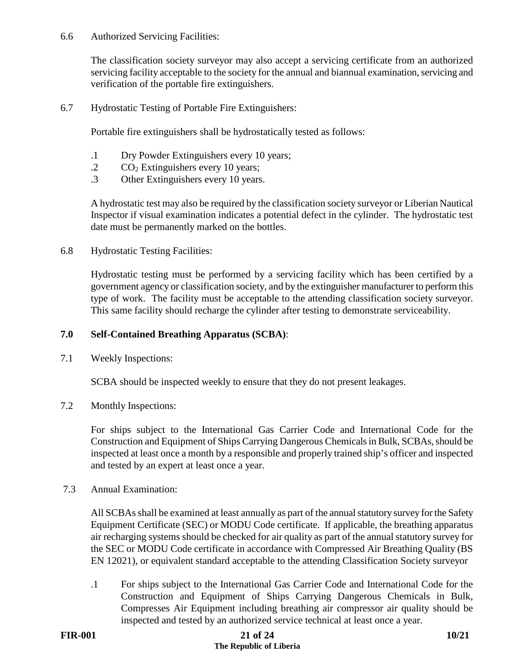#### 6.6 Authorized Servicing Facilities:

The classification society surveyor may also accept a servicing certificate from an authorized servicing facility acceptable to the society for the annual and biannual examination, servicing and verification of the portable fire extinguishers.

6.7 Hydrostatic Testing of Portable Fire Extinguishers:

Portable fire extinguishers shall be hydrostatically tested as follows:

- .1 Dry Powder Extinguishers every 10 years;
- $\text{CO}_2$  Extinguishers every 10 years;
- .3 Other Extinguishers every 10 years.

A hydrostatic test may also be required by the classification society surveyor or Liberian Nautical Inspector if visual examination indicates a potential defect in the cylinder. The hydrostatic test date must be permanently marked on the bottles.

6.8 Hydrostatic Testing Facilities:

Hydrostatic testing must be performed by a servicing facility which has been certified by a government agency or classification society, and by the extinguisher manufacturer to perform this type of work. The facility must be acceptable to the attending classification society surveyor. This same facility should recharge the cylinder after testing to demonstrate serviceability.

#### **7.0 Self-Contained Breathing Apparatus (SCBA)**:

7.1 Weekly Inspections:

SCBA should be inspected weekly to ensure that they do not present leakages.

7.2 Monthly Inspections:

For ships subject to the International Gas Carrier Code and International Code for the Construction and Equipment of Ships Carrying Dangerous Chemicals in Bulk, SCBAs, should be inspected at least once a month by a responsible and properly trained ship's officer and inspected and tested by an expert at least once a year.

7.3 Annual Examination:

All SCBAs shall be examined at least annually as part of the annual statutory survey for the Safety Equipment Certificate (SEC) or MODU Code certificate. If applicable, the breathing apparatus air recharging systems should be checked for air quality as part of the annual statutory survey for the SEC or MODU Code certificate in accordance with Compressed Air Breathing Quality (BS EN 12021), or equivalent standard acceptable to the attending Classification Society surveyor

.1 For ships subject to the International Gas Carrier Code and International Code for the Construction and Equipment of Ships Carrying Dangerous Chemicals in Bulk, Compresses Air Equipment including breathing air compressor air quality should be inspected and tested by an authorized service technical at least once a year.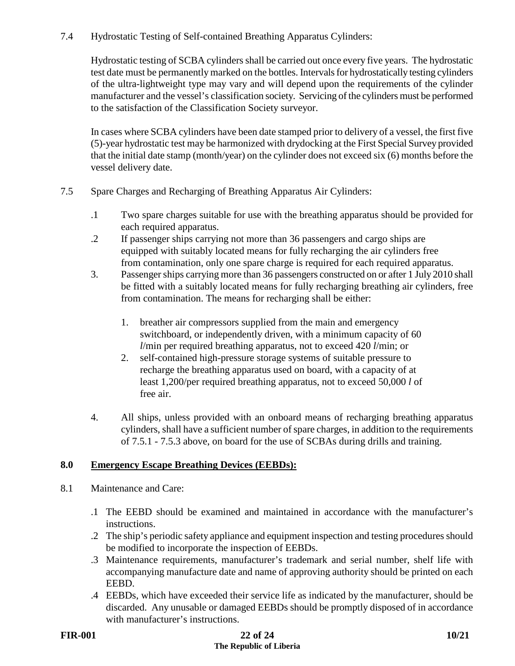# 7.4 Hydrostatic Testing of Self-contained Breathing Apparatus Cylinders:

Hydrostatic testing of SCBA cylinders shall be carried out once every five years. The hydrostatic test date must be permanently marked on the bottles. Intervals for hydrostatically testing cylinders of the ultra-lightweight type may vary and will depend upon the requirements of the cylinder manufacturer and the vessel's classification society. Servicing of the cylinders must be performed to the satisfaction of the Classification Society surveyor.

In cases where SCBA cylinders have been date stamped prior to delivery of a vessel, the first five (5)-year hydrostatic test may be harmonized with drydocking at the First Special Survey provided that the initial date stamp (month/year) on the cylinder does not exceed six (6) months before the vessel delivery date.

- 7.5 Spare Charges and Recharging of Breathing Apparatus Air Cylinders:
	- .1 Two spare charges suitable for use with the breathing apparatus should be provided for each required apparatus.
	- .2 If passenger ships carrying not more than 36 passengers and cargo ships are equipped with suitably located means for fully recharging the air cylinders free from contamination, only one spare charge is required for each required apparatus.
	- 3. Passenger ships carrying more than 36 passengers constructed on or after 1 July 2010 shall be fitted with a suitably located means for fully recharging breathing air cylinders, free from contamination. The means for recharging shall be either:
		- 1. breather air compressors supplied from the main and emergency switchboard, or independently driven, with a minimum capacity of 60 *l*/min per required breathing apparatus, not to exceed 420 *l*/min; or
		- 2. self-contained high-pressure storage systems of suitable pressure to recharge the breathing apparatus used on board, with a capacity of at least 1,200/per required breathing apparatus, not to exceed 50,000 *l* of free air.
	- 4. All ships, unless provided with an onboard means of recharging breathing apparatus cylinders, shall have a sufficient number of spare charges, in addition to the requirements of 7.5.1 - 7.5.3 above, on board for the use of SCBAs during drills and training.

# **8.0 Emergency Escape Breathing Devices (EEBDs):**

- 8.1 Maintenance and Care:
	- .1 The EEBD should be examined and maintained in accordance with the manufacturer's instructions.
	- .2 The ship's periodic safety appliance and equipment inspection and testing procedures should be modified to incorporate the inspection of EEBDs.
	- .3 Maintenance requirements, manufacturer's trademark and serial number, shelf life with accompanying manufacture date and name of approving authority should be printed on each EEBD.
	- .4 EEBDs, which have exceeded their service life as indicated by the manufacturer, should be discarded. Any unusable or damaged EEBDs should be promptly disposed of in accordance with manufacturer's instructions.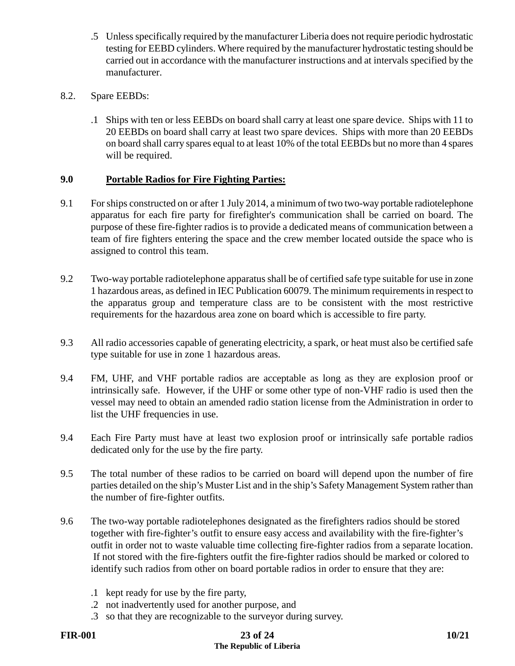- .5 Unless specifically required by the manufacturer Liberia does not require periodic hydrostatic testing for EEBD cylinders. Where required by the manufacturer hydrostatic testing should be carried out in accordance with the manufacturer instructions and at intervals specified by the manufacturer.
- 8.2. Spare EEBDs:
	- .1 Ships with ten or less EEBDs on board shall carry at least one spare device. Ships with 11 to 20 EEBDs on board shall carry at least two spare devices. Ships with more than 20 EEBDs on board shall carry spares equal to at least 10% of the total EEBDs but no more than 4 spares will be required.

# **9.0 Portable Radios for Fire Fighting Parties:**

- 9.1 For ships constructed on or after 1 July 2014, a minimum of two two-way portable radiotelephone apparatus for each fire party for firefighter's communication shall be carried on board. The purpose of these fire-fighter radios is to provide a dedicated means of communication between a team of fire fighters entering the space and the crew member located outside the space who is assigned to control this team.
- 9.2 Two-way portable radiotelephone apparatus shall be of certified safe type suitable for use in zone 1 hazardous areas, as defined in IEC Publication 60079. The minimum requirements in respect to the apparatus group and temperature class are to be consistent with the most restrictive requirements for the hazardous area zone on board which is accessible to fire party.
- 9.3 All radio accessories capable of generating electricity, a spark, or heat must also be certified safe type suitable for use in zone 1 hazardous areas.
- 9.4 FM, UHF, and VHF portable radios are acceptable as long as they are explosion proof or intrinsically safe. However, if the UHF or some other type of non-VHF radio is used then the vessel may need to obtain an amended radio station license from the Administration in order to list the UHF frequencies in use.
- 9.4 Each Fire Party must have at least two explosion proof or intrinsically safe portable radios dedicated only for the use by the fire party.
- 9.5 The total number of these radios to be carried on board will depend upon the number of fire parties detailed on the ship's Muster List and in the ship's Safety Management System rather than the number of fire-fighter outfits.
- 9.6 The two-way portable radiotelephones designated as the firefighters radios should be stored together with fire-fighter's outfit to ensure easy access and availability with the fire-fighter's outfit in order not to waste valuable time collecting fire-fighter radios from a separate location. If not stored with the fire-fighters outfit the fire-fighter radios should be marked or colored to identify such radios from other on board portable radios in order to ensure that they are:
	- .1 kept ready for use by the fire party,
	- .2 not inadvertently used for another purpose, and
	- .3 so that they are recognizable to the surveyor during survey.